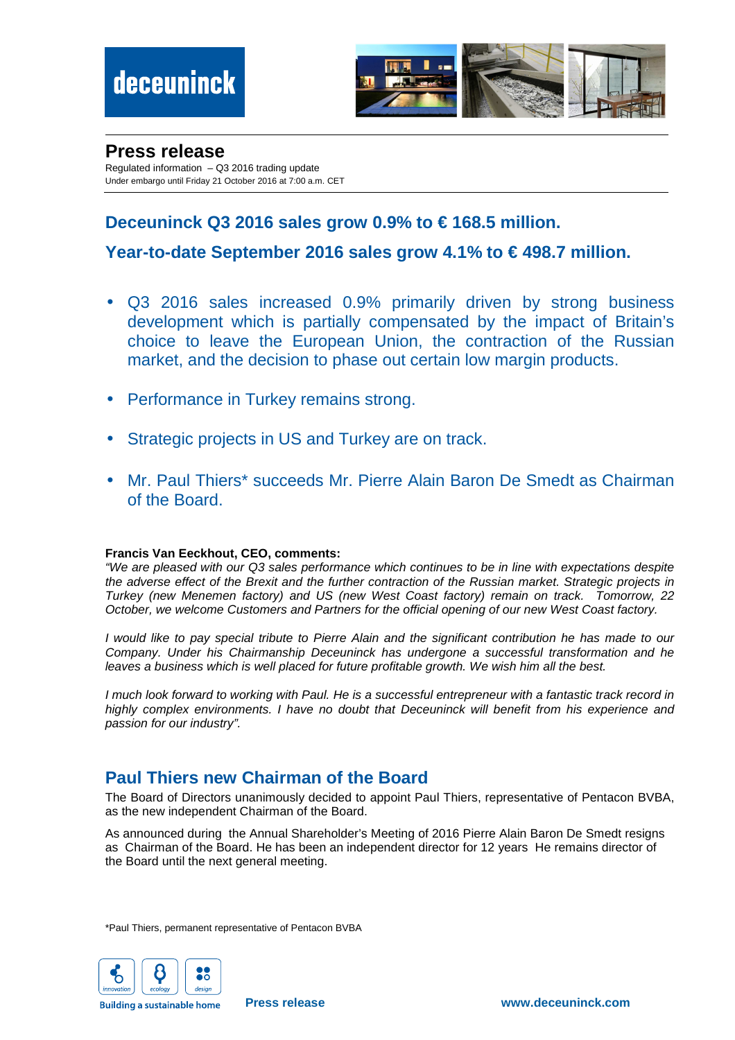

#### **Press release**

Regulated information – Q3 2016 trading update Under embargo until Friday 21 October 2016 at 7:00 a.m. CET

# **Deceuninck Q3 2016 sales grow 0.9% to € 168.5 million.**

# **Year-to-date September 2016 sales grow 4.1% to € 498.7 million.**

- Q3 2016 sales increased 0.9% primarily driven by strong business development which is partially compensated by the impact of Britain's choice to leave the European Union, the contraction of the Russian market, and the decision to phase out certain low margin products.
- Performance in Turkey remains strong.
- Strategic projects in US and Turkey are on track.
- Mr. Paul Thiers\* succeeds Mr. Pierre Alain Baron De Smedt as Chairman of the Board.

#### **Francis Van Eeckhout, CEO, comments:**

"We are pleased with our Q3 sales performance which continues to be in line with expectations despite the adverse effect of the Brexit and the further contraction of the Russian market. Strategic projects in Turkey (new Menemen factory) and US (new West Coast factory) remain on track. Tomorrow, 22 October, we welcome Customers and Partners for the official opening of our new West Coast factory.

I would like to pay special tribute to Pierre Alain and the significant contribution he has made to our Company. Under his Chairmanship Deceuninck has undergone a successful transformation and he leaves a business which is well placed for future profitable growth. We wish him all the best.

I much look forward to working with Paul. He is a successful entrepreneur with a fantastic track record in highly complex environments. I have no doubt that Deceuninck will benefit from his experience and passion for our industry".

# **Paul Thiers new Chairman of the Board**

The Board of Directors unanimously decided to appoint Paul Thiers, representative of Pentacon BVBA, as the new independent Chairman of the Board.

As announced during the Annual Shareholder's Meeting of 2016 Pierre Alain Baron De Smedt resigns as Chairman of the Board. He has been an independent director for 12 years He remains director of the Board until the next general meeting.

\*Paul Thiers, permanent representative of Pentacon BVBA



**Building a sustainable home**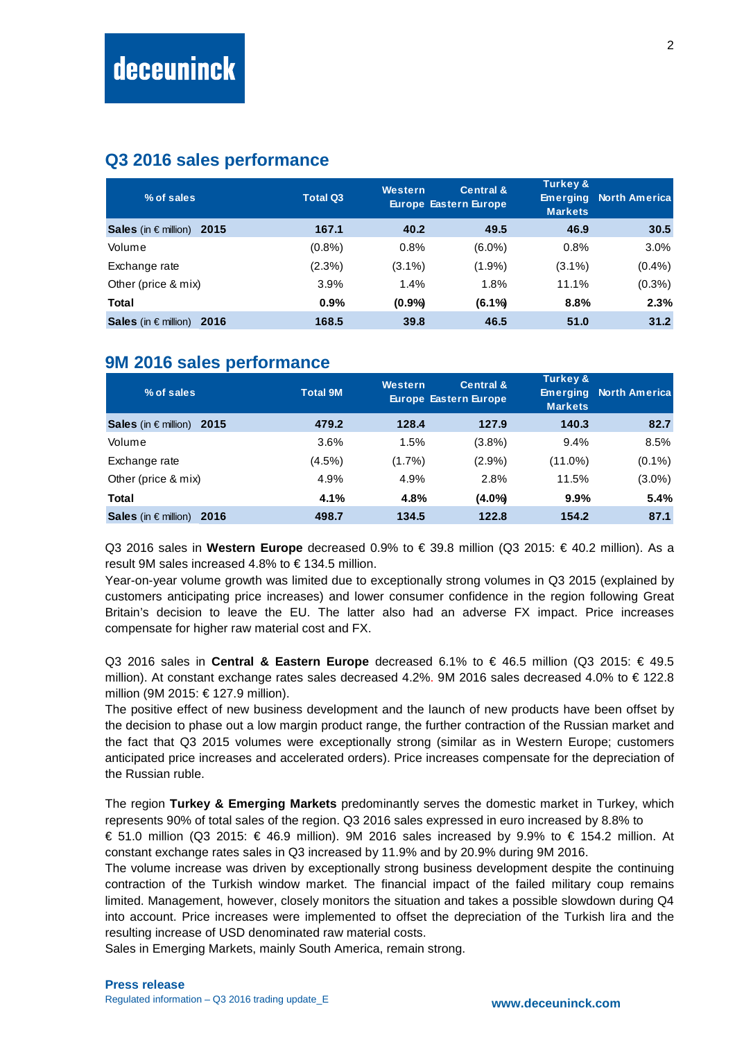# **Q3 2016 sales performance**

| % of sales                | <b>Total Q3</b> | <b>Western</b> | <b>Central &amp;</b><br><b>Europe Eastern Europe</b> | Turkey &<br><b>Emerging</b><br><b>Markets</b> | <b>North America</b> |
|---------------------------|-----------------|----------------|------------------------------------------------------|-----------------------------------------------|----------------------|
| Sales (in € million) 2015 | 167.1           | 40.2           | 49.5                                                 | 46.9                                          | 30.5                 |
| Volume                    | $(0.8\%)$       | 0.8%           | $(6.0\%)$                                            | 0.8%                                          | $3.0\%$              |
| Exchange rate             | $(2.3\%)$       | $(3.1\%)$      | $(1.9\%)$                                            | $(3.1\%)$                                     | (0.4%                |
| Other (price & mix)       | 3.9%            | 1.4%           | 1.8%                                                 | 11.1%                                         | $(0.3\%)$            |
| Total                     | $0.9\%$         | $(0.9\%)$      | $(6.1\%)$                                            | 8.8%                                          | 2.3%                 |
| Sales (in € million) 2016 | 168.5           | 39.8           | 46.5                                                 | 51.0                                          | 31.2                 |

## **9M 2016 sales performance**

| % of sales                         | <b>Total 9M</b> | <b>Western</b> | <b>Central &amp;</b><br><b>Europe Eastern Europe</b> | <b>Turkey &amp;</b><br><b>Emerging</b><br><b>Markets</b> | <b>North Americal</b> |
|------------------------------------|-----------------|----------------|------------------------------------------------------|----------------------------------------------------------|-----------------------|
| Sales (in $\epsilon$ million) 2015 | 479.2           | 128.4          | 127.9                                                | 140.3                                                    | 82.7                  |
| Volume                             | 3.6%            | 1.5%           | (3.8%)                                               | 9.4%                                                     | 8.5%                  |
| Exchange rate                      | $(4.5\%)$       | $(1.7\%)$      | $(2.9\%)$                                            | (11.0%)                                                  | $(0.1\%)$             |
| Other (price & mix)                | 4.9%            | 4.9%           | 2.8%                                                 | 11.5%                                                    | $(3.0\%)$             |
| Total                              | 4.1%            | 4.8%           | $(4.0\%)$                                            | $9.9\%$                                                  | 5.4%                  |
| <b>Sales</b> (in € million) 2016   | 498.7           | 134.5          | 122.8                                                | 154.2                                                    | 87.1                  |

Q3 2016 sales in **Western Europe** decreased 0.9% to € 39.8 million (Q3 2015: € 40.2 million). As a result 9M sales increased 4.8% to  $\epsilon$  134.5 million.

Year-on-year volume growth was limited due to exceptionally strong volumes in Q3 2015 (explained by customers anticipating price increases) and lower consumer confidence in the region following Great Britain's decision to leave the EU. The latter also had an adverse FX impact. Price increases compensate for higher raw material cost and FX.

Q3 2016 sales in **Central & Eastern Europe** decreased 6.1% to € 46.5 million (Q3 2015: € 49.5 million). At constant exchange rates sales decreased 4.2%. 9M 2016 sales decreased 4.0% to € 122.8 million (9M 2015: € 127.9 million).

The positive effect of new business development and the launch of new products have been offset by the decision to phase out a low margin product range, the further contraction of the Russian market and the fact that Q3 2015 volumes were exceptionally strong (similar as in Western Europe; customers anticipated price increases and accelerated orders). Price increases compensate for the depreciation of the Russian ruble.

The region **Turkey & Emerging Markets** predominantly serves the domestic market in Turkey, which represents 90% of total sales of the region. Q3 2016 sales expressed in euro increased by 8.8% to

€ 51.0 million (Q3 2015: € 46.9 million). 9M 2016 sales increased by 9.9% to € 154.2 million. At constant exchange rates sales in Q3 increased by 11.9% and by 20.9% during 9M 2016.

The volume increase was driven by exceptionally strong business development despite the continuing contraction of the Turkish window market. The financial impact of the failed military coup remains limited. Management, however, closely monitors the situation and takes a possible slowdown during Q4 into account. Price increases were implemented to offset the depreciation of the Turkish lira and the resulting increase of USD denominated raw material costs.

Sales in Emerging Markets, mainly South America, remain strong.